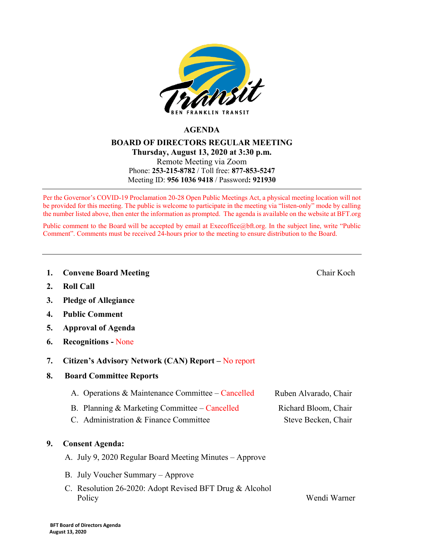

### **AGENDA**

### **BOARD OF DIRECTORS REGULAR MEETING Thursday, August 13, 2020 at 3:30 p.m.** Remote Meeting via Zoom Phone: **253-215-8782** / Toll free: **877-853-5247** Meeting ID: **956 1036 9418** / Password**: 921930**

Per the Governor's COVID-19 Proclamation 20-28 Open Public Meetings Act, a physical meeting location will not be provided for this meeting. The public is welcome to participate in the meeting via "listen-only" mode by calling the number listed above, then enter the information as prompted. The agenda is available on the website at BFT.org

Public comment to the Board will be accepted by email at [Execoffice@bft.org.](mailto:Execoffice@bft.org) In the subject line, write "Public Comment". Comments must be received 24-hours prior to the meeting to ensure distribution to the Board.

**1. Convene Board Meeting** Chair Koch

- **2. Roll Call**
- **3. Pledge of Allegiance**
- **4. Public Comment**
- **5. Approval of Agenda**
- **6. Recognitions -** None
- **7. Citizen's Advisory Network (CAN) Report –** No report
- **8. Board Committee Reports**

| A. Operations & Maintenance Committee – Cancelled | Ruben Alvarado, Chair |
|---------------------------------------------------|-----------------------|
| B. Planning & Marketing Committee – Cancelled     | Richard Bloom, Chair  |
| C. Administration & Finance Committee             | Steve Becken, Chair   |

#### **9. Consent Agenda:**

- A. July 9, 2020 Regular Board Meeting Minutes Approve
- B. July Voucher Summary Approve
- C. Resolution 26-2020: Adopt Revised BFT Drug & Alcohol Policy Wendi Warner